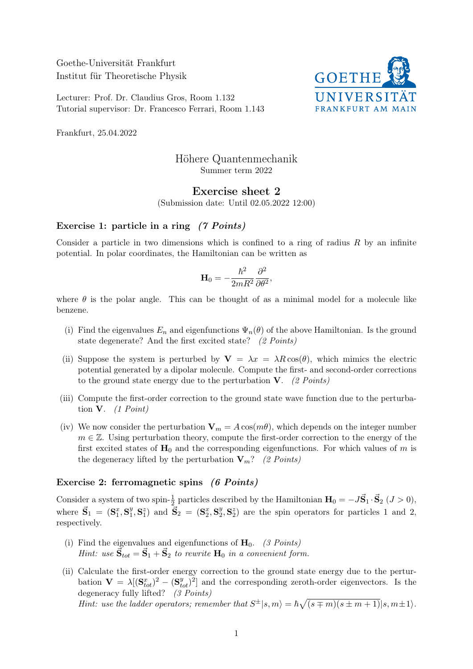Goethe-Universität Frankfurt Institut für Theoretische Physik

Lecturer: Prof. Dr. Claudius Gros, Room 1.132 Tutorial supervisor: Dr. Francesco Ferrari, Room 1.143



Frankfurt, 25.04.2022

# Höhere Quantenmechanik Summer term 2022

## Exercise sheet 2

(Submission date: Until 02.05.2022 12:00)

#### Exercise 1: particle in a ring (7 Points)

Consider a particle in two dimensions which is confined to a ring of radius  $R$  by an infinite potential. In polar coordinates, the Hamiltonian can be written as

$$
\mathbf{H}_0 = -\frac{\hbar^2}{2mR^2}\frac{\partial^2}{\partial\theta^2},
$$

where  $\theta$  is the polar angle. This can be thought of as a minimal model for a molecule like benzene.

- (i) Find the eigenvalues  $E_n$  and eigenfunctions  $\Psi_n(\theta)$  of the above Hamiltonian. Is the ground state degenerate? And the first excited state? (2 Points)
- (ii) Suppose the system is perturbed by  $V = \lambda x = \lambda R \cos(\theta)$ , which mimics the electric potential generated by a dipolar molecule. Compute the first- and second-order corrections to the ground state energy due to the perturbation  $V.$  (2 Points)
- (iii) Compute the first-order correction to the ground state wave function due to the perturbation  $V.$  (1 Point)
- (iv) We now consider the perturbation  $V_m = A \cos(m\theta)$ , which depends on the integer number  $m \in \mathbb{Z}$ . Using perturbation theory, compute the first-order correction to the energy of the first excited states of  $H_0$  and the corresponding eigenfunctions. For which values of m is the degeneracy lifted by the perturbation  $V_m$ ? (2 Points)

#### Exercise 2: ferromagnetic spins (6 Points)

Consider a system of two spin- $\frac{1}{2}$  particles described by the Hamiltonian  $\mathbf{H}_0 = -J\vec{S}_1 \cdot \vec{S}_2$  ( $J > 0$ ), where  $\vec{S}_1 = (S_1^x, S_1^y)$  $\mathbf{S}_1^y$ ,  $\mathbf{S}_2^z$  and  $\vec{\mathbf{S}}_2 = (\mathbf{S}_2^x, \mathbf{S}_2^y)$  $2^y$ ,  $S_2^z$ ) are the spin operators for particles 1 and 2, respectively.

- (i) Find the eigenvalues and eigenfunctions of  $H_0$ . (3 Points) Hint: use  $\vec{S}_{tot} = \vec{S}_1 + \vec{S}_2$  to rewrite  $H_0$  in a convenient form.
- (ii) Calculate the first-order energy correction to the ground state energy due to the perturbation  $\mathbf{V} = \lambda [(\mathbf{S}_{tot}^x)^2 - (\mathbf{S}_{tot}^y)^2]$  and the corresponding zeroth-order eigenvectors. Is the degeneracy fully lifted? (3 Points)

Hint: use the ladder operators; remember that  $S^{\pm}|s,m\rangle = \hbar \sqrt{(s \mp m)(s \pm m + 1)}|s,m \pm 1\rangle$ .